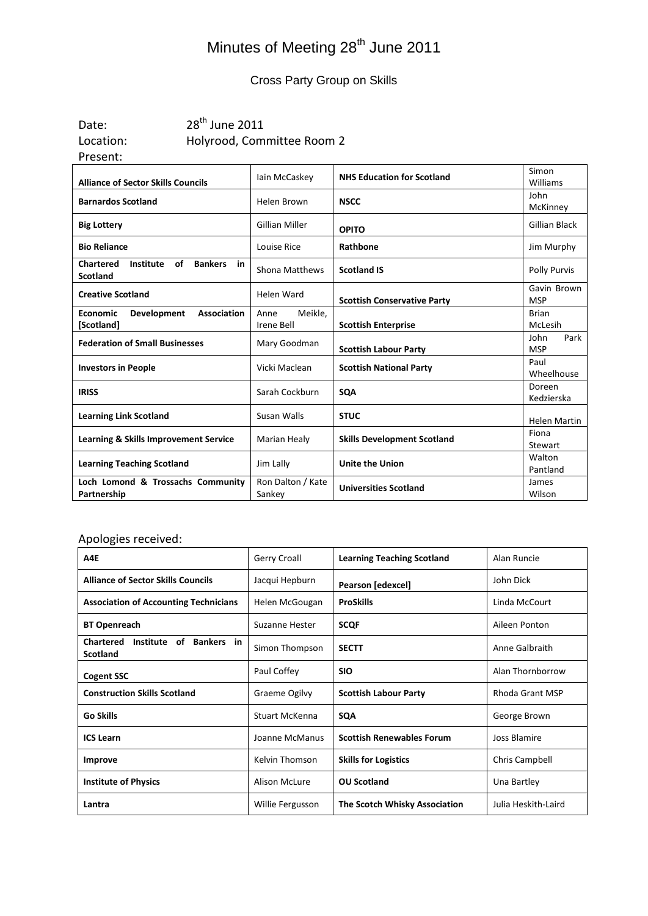# Minutes of Meeting 28<sup>th</sup> June 2011

### Cross Party Group on Skills

Date: 28<sup>th</sup> June 2011 Location: Holyrood, Committee Room 2 Present:

| <b>Alliance of Sector Skills Councils</b>                                      | lain McCaskey                 | <b>NHS Education for Scotland</b>  | Simon<br>Williams          |
|--------------------------------------------------------------------------------|-------------------------------|------------------------------------|----------------------------|
| <b>Barnardos Scotland</b>                                                      | Helen Brown                   | <b>NSCC</b>                        | John<br>McKinney           |
| <b>Big Lottery</b>                                                             | Gillian Miller                | <b>OPITO</b>                       | <b>Gillian Black</b>       |
| <b>Bio Reliance</b>                                                            | Louise Rice                   | Rathbone                           | Jim Murphy                 |
| Chartered<br>Institute<br><b>of</b><br><b>Bankers</b><br>in<br><b>Scotland</b> | <b>Shona Matthews</b>         | <b>Scotland IS</b>                 | Polly Purvis               |
| <b>Creative Scotland</b>                                                       | Helen Ward                    | <b>Scottish Conservative Party</b> | Gavin Brown<br><b>MSP</b>  |
| <b>Association</b><br><b>Economic</b><br>Development<br>[Scotland]             | Meikle,<br>Anne<br>Irene Bell | <b>Scottish Enterprise</b>         | <b>Brian</b><br>McLesih    |
| <b>Federation of Small Businesses</b>                                          | Mary Goodman                  | <b>Scottish Labour Party</b>       | John<br>Park<br><b>MSP</b> |
| <b>Investors in People</b>                                                     | Vicki Maclean                 | <b>Scottish National Party</b>     | Paul<br>Wheelhouse         |
| <b>IRISS</b>                                                                   | Sarah Cockburn                | <b>SQA</b>                         | Doreen<br>Kedzierska       |
| <b>Learning Link Scotland</b>                                                  | Susan Walls                   | <b>STUC</b>                        | <b>Helen Martin</b>        |
| <b>Learning &amp; Skills Improvement Service</b>                               | Marian Healy                  | <b>Skills Development Scotland</b> | Fiona<br><b>Stewart</b>    |
| <b>Learning Teaching Scotland</b>                                              | Jim Lally                     | <b>Unite the Union</b>             | Walton<br>Pantland         |
| Loch Lomond & Trossachs Community<br>Partnership                               | Ron Dalton / Kate<br>Sankey   | <b>Universities Scotland</b>       | James<br>Wilson            |

### Apologies received:

| A4E                                                               | Gerry Croall     | <b>Learning Teaching Scotland</b> | Alan Runcie            |
|-------------------------------------------------------------------|------------------|-----------------------------------|------------------------|
| <b>Alliance of Sector Skills Councils</b>                         | Jacqui Hepburn   | Pearson [edexcel]                 | John Dick              |
| <b>Association of Accounting Technicians</b>                      | Helen McGougan   | <b>ProSkills</b>                  | Linda McCourt          |
| <b>BT Openreach</b>                                               | Suzanne Hester   | <b>SCQF</b>                       | Aileen Ponton          |
| Institute of Bankers<br><b>Chartered</b><br>in<br><b>Scotland</b> | Simon Thompson   | <b>SECTT</b>                      | Anne Galbraith         |
| <b>Cogent SSC</b>                                                 | Paul Coffey      | <b>SIO</b>                        | Alan Thornborrow       |
| <b>Construction Skills Scotland</b>                               | Graeme Ogilvy    | <b>Scottish Labour Party</b>      | <b>Rhoda Grant MSP</b> |
| <b>Go Skills</b>                                                  | Stuart McKenna   | <b>SQA</b>                        | George Brown           |
| <b>ICS Learn</b>                                                  | Joanne McManus   | <b>Scottish Renewables Forum</b>  | Joss Blamire           |
| Improve                                                           | Kelvin Thomson   | <b>Skills for Logistics</b>       | Chris Campbell         |
| <b>Institute of Physics</b>                                       | Alison McLure    | <b>OU Scotland</b>                | Una Bartley            |
| Lantra                                                            | Willie Fergusson | The Scotch Whisky Association     | Julia Heskith-Laird    |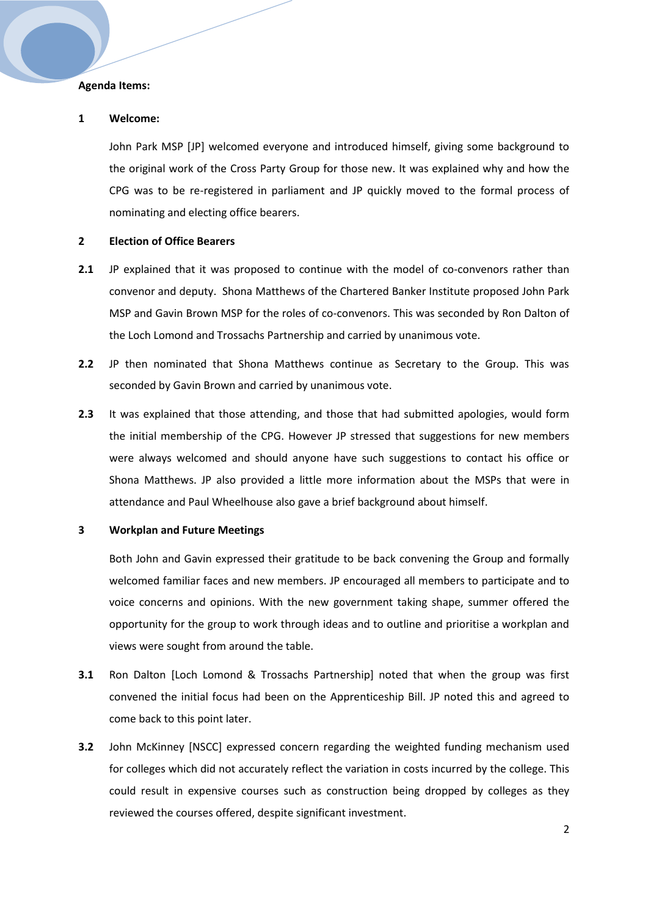#### **Agenda Items:**

#### **1 Welcome:**

John Park MSP [JP] welcomed everyone and introduced himself, giving some background to the original work of the Cross Party Group for those new. It was explained why and how the CPG was to be re-registered in parliament and JP quickly moved to the formal process of nominating and electing office bearers.

#### **2 Election of Office Bearers**

- 2.1 JP explained that it was proposed to continue with the model of co-convenors rather than convenor and deputy. Shona Matthews of the Chartered Banker Institute proposed John Park MSP and Gavin Brown MSP for the roles of co-convenors. This was seconded by Ron Dalton of the Loch Lomond and Trossachs Partnership and carried by unanimous vote.
- **2.2** JP then nominated that Shona Matthews continue as Secretary to the Group. This was seconded by Gavin Brown and carried by unanimous vote.
- **2.3** It was explained that those attending, and those that had submitted apologies, would form the initial membership of the CPG. However JP stressed that suggestions for new members were always welcomed and should anyone have such suggestions to contact his office or Shona Matthews. JP also provided a little more information about the MSPs that were in attendance and Paul Wheelhouse also gave a brief background about himself.

#### **3 Workplan and Future Meetings**

Both John and Gavin expressed their gratitude to be back convening the Group and formally welcomed familiar faces and new members. JP encouraged all members to participate and to voice concerns and opinions. With the new government taking shape, summer offered the opportunity for the group to work through ideas and to outline and prioritise a workplan and views were sought from around the table.

- **3.1** Ron Dalton [Loch Lomond & Trossachs Partnership] noted that when the group was first convened the initial focus had been on the Apprenticeship Bill. JP noted this and agreed to come back to this point later.
- **3.2** John McKinney [NSCC] expressed concern regarding the weighted funding mechanism used for colleges which did not accurately reflect the variation in costs incurred by the college. This could result in expensive courses such as construction being dropped by colleges as they reviewed the courses offered, despite significant investment.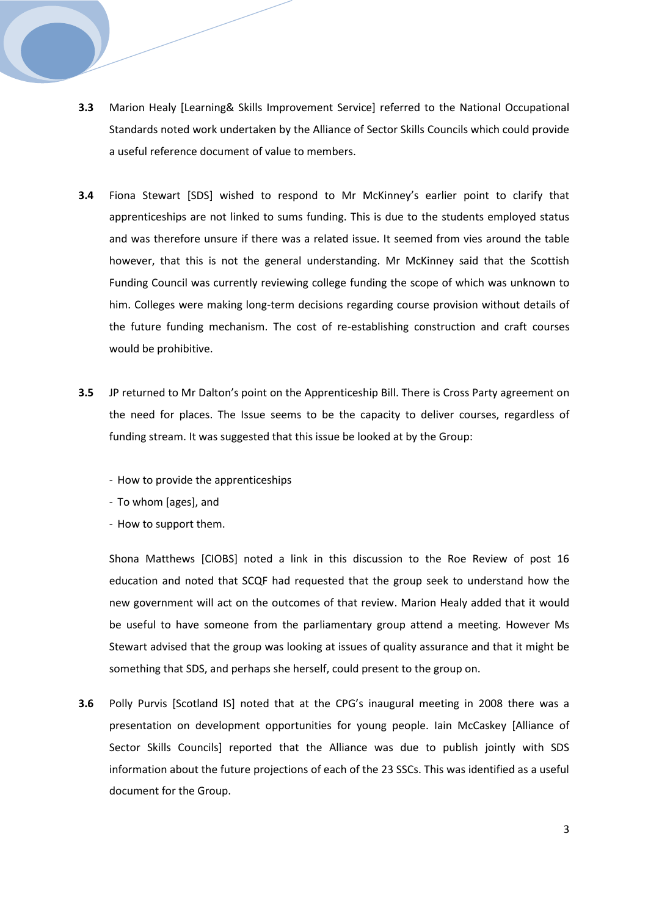- **3.3** Marion Healy [Learning& Skills Improvement Service] referred to the National Occupational Standards noted work undertaken by the Alliance of Sector Skills Councils which could provide a useful reference document of value to members.
- **3.4** Fiona Stewart [SDS] wished to respond to Mr McKinney's earlier point to clarify that apprenticeships are not linked to sums funding. This is due to the students employed status and was therefore unsure if there was a related issue. It seemed from vies around the table however, that this is not the general understanding. Mr McKinney said that the Scottish Funding Council was currently reviewing college funding the scope of which was unknown to him. Colleges were making long-term decisions regarding course provision without details of the future funding mechanism. The cost of re-establishing construction and craft courses would be prohibitive.
- **3.5** JP returned to Mr Dalton's point on the Apprenticeship Bill. There is Cross Party agreement on the need for places. The Issue seems to be the capacity to deliver courses, regardless of funding stream. It was suggested that this issue be looked at by the Group:
	- How to provide the apprenticeships
	- To whom [ages], and
	- How to support them.

Shona Matthews [CIOBS] noted a link in this discussion to the Roe Review of post 16 education and noted that SCQF had requested that the group seek to understand how the new government will act on the outcomes of that review. Marion Healy added that it would be useful to have someone from the parliamentary group attend a meeting. However Ms Stewart advised that the group was looking at issues of quality assurance and that it might be something that SDS, and perhaps she herself, could present to the group on.

**3.6** Polly Purvis [Scotland IS] noted that at the CPG's inaugural meeting in 2008 there was a presentation on development opportunities for young people. Iain McCaskey [Alliance of Sector Skills Councils] reported that the Alliance was due to publish jointly with SDS information about the future projections of each of the 23 SSCs. This was identified as a useful document for the Group.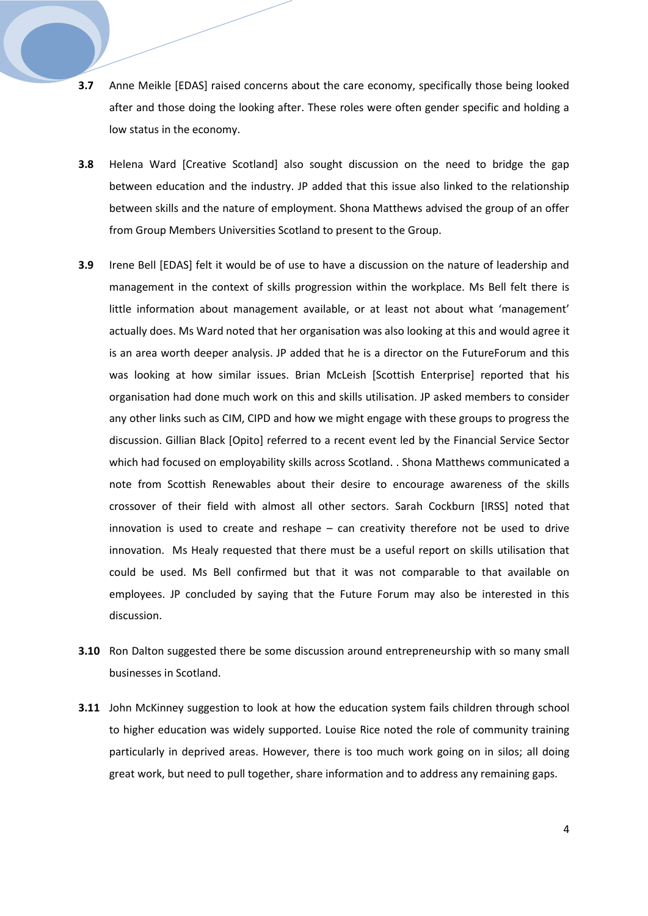- **3.7** Anne Meikle [EDAS] raised concerns about the care economy, specifically those being looked after and those doing the looking after. These roles were often gender specific and holding a low status in the economy.
- **3.8** Helena Ward [Creative Scotland] also sought discussion on the need to bridge the gap between education and the industry. JP added that this issue also linked to the relationship between skills and the nature of employment. Shona Matthews advised the group of an offer from Group Members Universities Scotland to present to the Group.
- **3.9** Irene Bell [EDAS] felt it would be of use to have a discussion on the nature of leadership and management in the context of skills progression within the workplace. Ms Bell felt there is little information about management available, or at least not about what 'management' actually does. Ms Ward noted that her organisation was also looking at this and would agree it is an area worth deeper analysis. JP added that he is a director on the FutureForum and this was looking at how similar issues. Brian McLeish [Scottish Enterprise] reported that his organisation had done much work on this and skills utilisation. JP asked members to consider any other links such as CIM, CIPD and how we might engage with these groups to progress the discussion. Gillian Black [Opito] referred to a recent event led by the Financial Service Sector which had focused on employability skills across Scotland. . Shona Matthews communicated a note from Scottish Renewables about their desire to encourage awareness of the skills crossover of their field with almost all other sectors. Sarah Cockburn [IRSS] noted that innovation is used to create and reshape – can creativity therefore not be used to drive innovation. Ms Healy requested that there must be a useful report on skills utilisation that could be used. Ms Bell confirmed but that it was not comparable to that available on employees. JP concluded by saying that the Future Forum may also be interested in this discussion.
- **3.10** Ron Dalton suggested there be some discussion around entrepreneurship with so many small businesses in Scotland.
- **3.11** John McKinney suggestion to look at how the education system fails children through school to higher education was widely supported. Louise Rice noted the role of community training particularly in deprived areas. However, there is too much work going on in silos; all doing great work, but need to pull together, share information and to address any remaining gaps.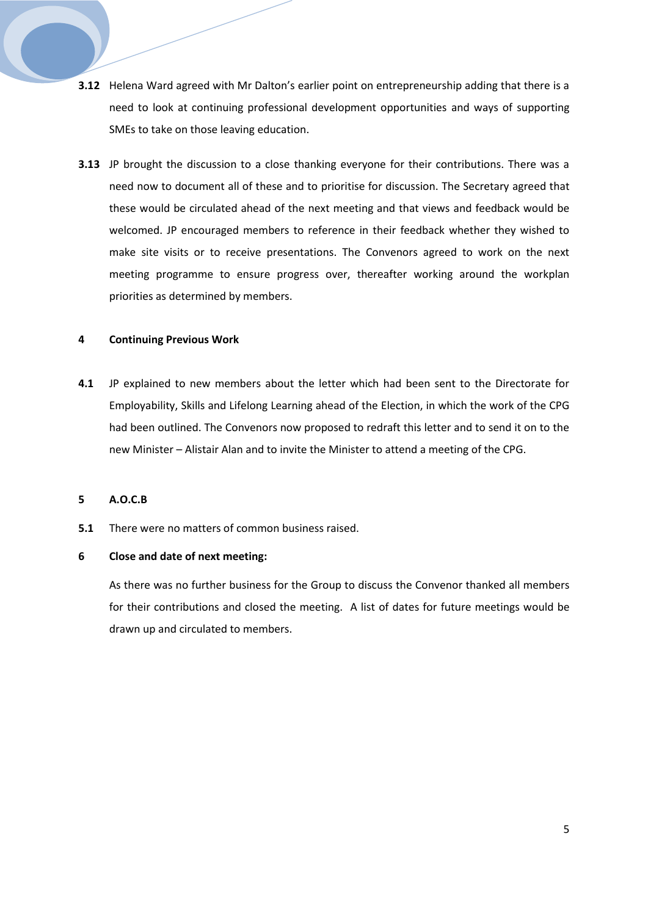- **3.12** Helena Ward agreed with Mr Dalton's earlier point on entrepreneurship adding that there is a need to look at continuing professional development opportunities and ways of supporting SMEs to take on those leaving education.
- **3.13** JP brought the discussion to a close thanking everyone for their contributions. There was a need now to document all of these and to prioritise for discussion. The Secretary agreed that these would be circulated ahead of the next meeting and that views and feedback would be welcomed. JP encouraged members to reference in their feedback whether they wished to make site visits or to receive presentations. The Convenors agreed to work on the next meeting programme to ensure progress over, thereafter working around the workplan priorities as determined by members.

#### **4 Continuing Previous Work**

**4.1** JP explained to new members about the letter which had been sent to the Directorate for Employability, Skills and Lifelong Learning ahead of the Election, in which the work of the CPG had been outlined. The Convenors now proposed to redraft this letter and to send it on to the new Minister – Alistair Alan and to invite the Minister to attend a meeting of the CPG.

#### **5 A.O.C.B**

**5.1** There were no matters of common business raised.

#### **6 Close and date of next meeting:**

As there was no further business for the Group to discuss the Convenor thanked all members for their contributions and closed the meeting. A list of dates for future meetings would be drawn up and circulated to members.